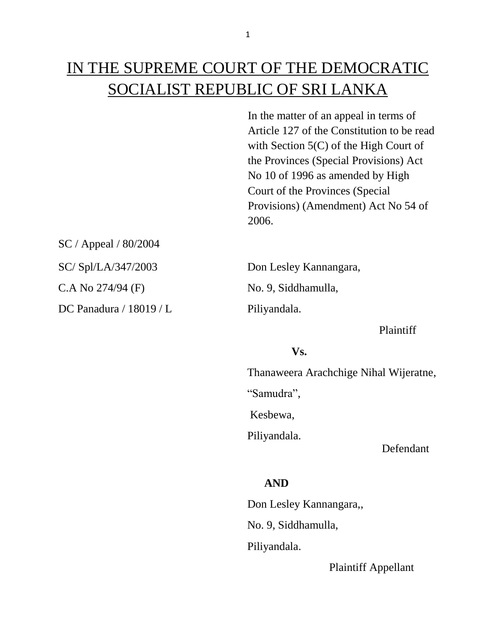# IN THE SUPREME COURT OF THE DEMOCRATIC SOCIALIST REPUBLIC OF SRI LANKA

In the matter of an appeal in terms of Article 127 of the Constitution to be read with Section 5(C) of the High Court of the Provinces (Special Provisions) Act No 10 of 1996 as amended by High Court of the Provinces (Special Provisions) (Amendment) Act No 54 of 2006.

SC / Appeal / 80/2004

DC Panadura / 18019 / L<br>Piliyandala.

SC/ Spl/LA/347/2003 Don Lesley Kannangara, C.A No 274/94 (F) No. 9, Siddhamulla,

Plaintiff

### **Vs.**

Thanaweera Arachchige Nihal Wijeratne,

"Samudra",

Kesbewa,

Piliyandala.

Defendant

## **AND**

 Don Lesley Kannangara,, No. 9, Siddhamulla, Piliyandala.

Plaintiff Appellant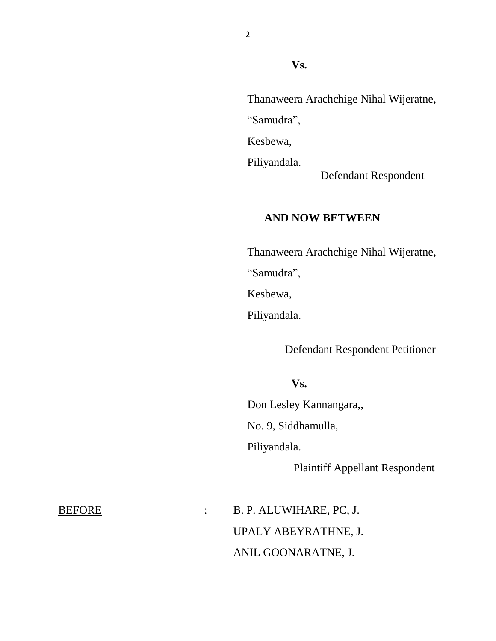Thanaweera Arachchige Nihal Wijeratne, "Samudra",

Kesbewa,

Piliyandala.

Defendant Respondent

## **AND NOW BETWEEN**

Thanaweera Arachchige Nihal Wijeratne, "Samudra", Kesbewa,

Piliyandala.

Defendant Respondent Petitioner

#### **Vs.**

 Don Lesley Kannangara,, No. 9, Siddhamulla, Piliyandala.

Plaintiff Appellant Respondent

BEFORE : B. P. ALUWIHARE, PC, J. UPALY ABEYRATHNE, J. ANIL GOONARATNE, J.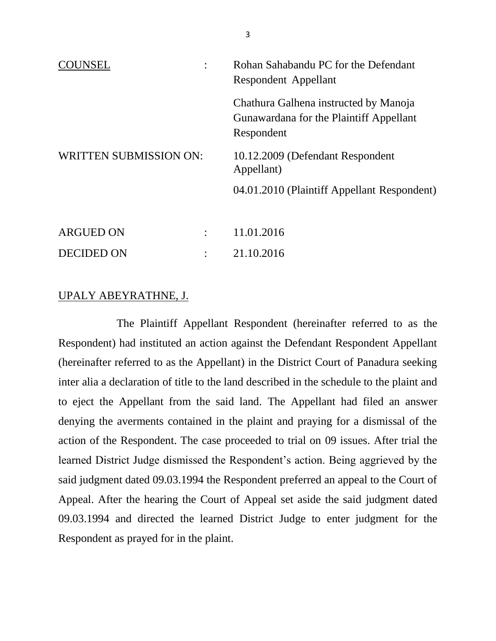| $\bullet$<br>NSEL.            | Rohan Sahabandu PC for the Defendant<br>Respondent Appellant                                   |
|-------------------------------|------------------------------------------------------------------------------------------------|
|                               | Chathura Galhena instructed by Manoja<br>Gunawardana for the Plaintiff Appellant<br>Respondent |
| <b>WRITTEN SUBMISSION ON:</b> | 10.12.2009 (Defendant Respondent<br>Appellant)                                                 |
|                               | 04.01.2010 (Plaintiff Appellant Respondent)                                                    |
| ARGUED ON<br>$\bullet$        | 11.01.2016                                                                                     |

#### UPALY ABEYRATHNE, J.

DECIDED ON : 21.10.2016

The Plaintiff Appellant Respondent (hereinafter referred to as the Respondent) had instituted an action against the Defendant Respondent Appellant (hereinafter referred to as the Appellant) in the District Court of Panadura seeking inter alia a declaration of title to the land described in the schedule to the plaint and to eject the Appellant from the said land. The Appellant had filed an answer denying the averments contained in the plaint and praying for a dismissal of the action of the Respondent. The case proceeded to trial on 09 issues. After trial the learned District Judge dismissed the Respondent's action. Being aggrieved by the said judgment dated 09.03.1994 the Respondent preferred an appeal to the Court of Appeal. After the hearing the Court of Appeal set aside the said judgment dated 09.03.1994 and directed the learned District Judge to enter judgment for the Respondent as prayed for in the plaint.

3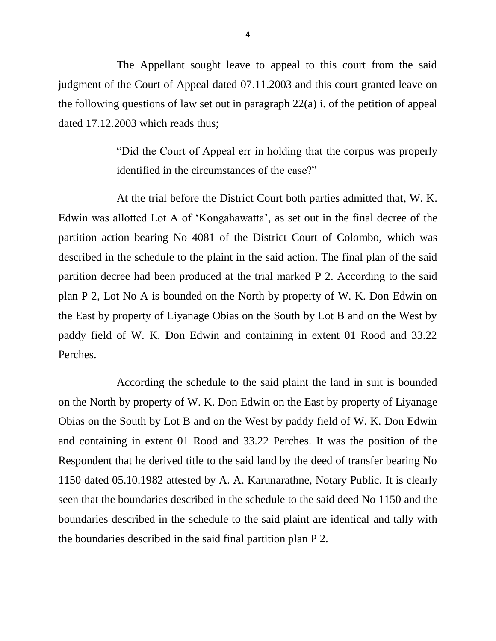The Appellant sought leave to appeal to this court from the said judgment of the Court of Appeal dated 07.11.2003 and this court granted leave on the following questions of law set out in paragraph 22(a) i. of the petition of appeal dated 17.12.2003 which reads thus;

> "Did the Court of Appeal err in holding that the corpus was properly identified in the circumstances of the case?"

At the trial before the District Court both parties admitted that, W. K. Edwin was allotted Lot A of 'Kongahawatta', as set out in the final decree of the partition action bearing No 4081 of the District Court of Colombo, which was described in the schedule to the plaint in the said action. The final plan of the said partition decree had been produced at the trial marked P 2. According to the said plan P 2, Lot No A is bounded on the North by property of W. K. Don Edwin on the East by property of Liyanage Obias on the South by Lot B and on the West by paddy field of W. K. Don Edwin and containing in extent 01 Rood and 33.22 Perches.

According the schedule to the said plaint the land in suit is bounded on the North by property of W. K. Don Edwin on the East by property of Liyanage Obias on the South by Lot B and on the West by paddy field of W. K. Don Edwin and containing in extent 01 Rood and 33.22 Perches. It was the position of the Respondent that he derived title to the said land by the deed of transfer bearing No 1150 dated 05.10.1982 attested by A. A. Karunarathne, Notary Public. It is clearly seen that the boundaries described in the schedule to the said deed No 1150 and the boundaries described in the schedule to the said plaint are identical and tally with the boundaries described in the said final partition plan P 2.

4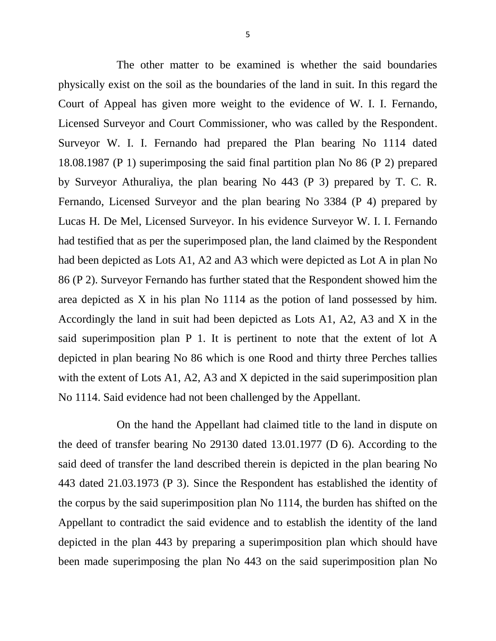The other matter to be examined is whether the said boundaries physically exist on the soil as the boundaries of the land in suit. In this regard the Court of Appeal has given more weight to the evidence of W. I. I. Fernando, Licensed Surveyor and Court Commissioner, who was called by the Respondent. Surveyor W. I. I. Fernando had prepared the Plan bearing No 1114 dated 18.08.1987 (P 1) superimposing the said final partition plan No 86 (P 2) prepared by Surveyor Athuraliya, the plan bearing No 443 (P 3) prepared by T. C. R. Fernando, Licensed Surveyor and the plan bearing No 3384 (P 4) prepared by Lucas H. De Mel, Licensed Surveyor. In his evidence Surveyor W. I. I. Fernando had testified that as per the superimposed plan, the land claimed by the Respondent had been depicted as Lots A1, A2 and A3 which were depicted as Lot A in plan No 86 (P 2). Surveyor Fernando has further stated that the Respondent showed him the area depicted as X in his plan No 1114 as the potion of land possessed by him. Accordingly the land in suit had been depicted as Lots A1, A2, A3 and X in the said superimposition plan P 1. It is pertinent to note that the extent of lot A depicted in plan bearing No 86 which is one Rood and thirty three Perches tallies with the extent of Lots A1, A2, A3 and X depicted in the said superimposition plan No 1114. Said evidence had not been challenged by the Appellant.

On the hand the Appellant had claimed title to the land in dispute on the deed of transfer bearing No 29130 dated 13.01.1977 (D 6). According to the said deed of transfer the land described therein is depicted in the plan bearing No 443 dated 21.03.1973 (P 3). Since the Respondent has established the identity of the corpus by the said superimposition plan No 1114, the burden has shifted on the Appellant to contradict the said evidence and to establish the identity of the land depicted in the plan 443 by preparing a superimposition plan which should have been made superimposing the plan No 443 on the said superimposition plan No